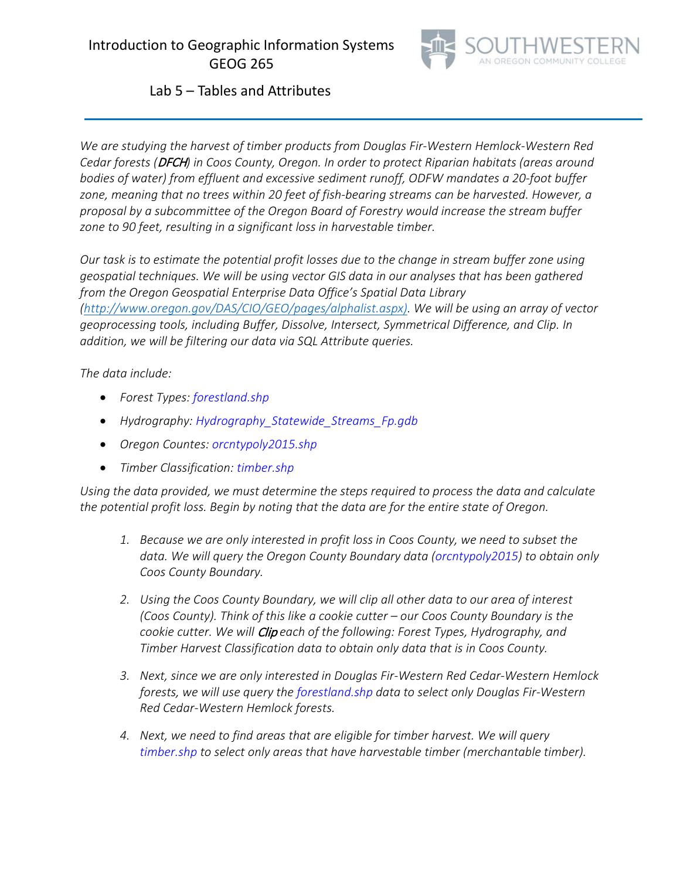

# Lab 5 – Tables and Attributes

*We are studying the harvest of timber products from Douglas Fir-Western Hemlock-Western Red Cedar forests (*DFCH*) in Coos County, Oregon. In order to protect Riparian habitats (areas around bodies of water) from effluent and excessive sediment runoff, ODFW mandates a 20-foot buffer zone, meaning that no trees within 20 feet of fish-bearing streams can be harvested. However, a proposal by a subcommittee of the Oregon Board of Forestry would increase the stream buffer zone to 90 feet, resulting in a significant loss in harvestable timber.*

*Our task is to estimate the potential profit losses due to the change in stream buffer zone using geospatial techniques. We will be using vector GIS data in our analyses that has been gathered from the Oregon Geospatial Enterprise Data Office's Spatial Data Library [\(http://www.oregon.gov/DAS/CIO/GEO/pages/alphalist.aspx\).](http://www.oregon.gov/DAS/CIO/GEO/pages/alphalist.aspx)) We will be using an array of vector geoprocessing tools, including Buffer, Dissolve, Intersect, Symmetrical Difference, and Clip. In addition, we will be filtering our data via SQL Attribute queries.* 

## *The data include:*

- *Forest Types: forestland.shp*
- *Hydrography: Hydrography\_Statewide\_Streams\_Fp.gdb*
- *Oregon Countes: orcntypoly2015.shp*
- *Timber Classification: timber.shp*

*Using the data provided, we must determine the steps required to process the data and calculate the potential profit loss. Begin by noting that the data are for the entire state of Oregon.* 

- *1. Because we are only interested in profit loss in Coos County, we need to subset the data. We will query the Oregon County Boundary data (orcntypoly2015) to obtain only Coos County Boundary.*
- *2. Using the Coos County Boundary, we will clip all other data to our area of interest (Coos County). Think of this like a cookie cutter – our Coos County Boundary is the cookie cutter. We will* Clip *each of the following: Forest Types, Hydrography, and Timber Harvest Classification data to obtain only data that is in Coos County.*
- *3. Next, since we are only interested in Douglas Fir-Western Red Cedar-Western Hemlock forests, we will use query the forestland.shp data to select only Douglas Fir-Western Red Cedar-Western Hemlock forests.*
- *4. Next, we need to find areas that are eligible for timber harvest. We will query timber.shp to select only areas that have harvestable timber (merchantable timber).*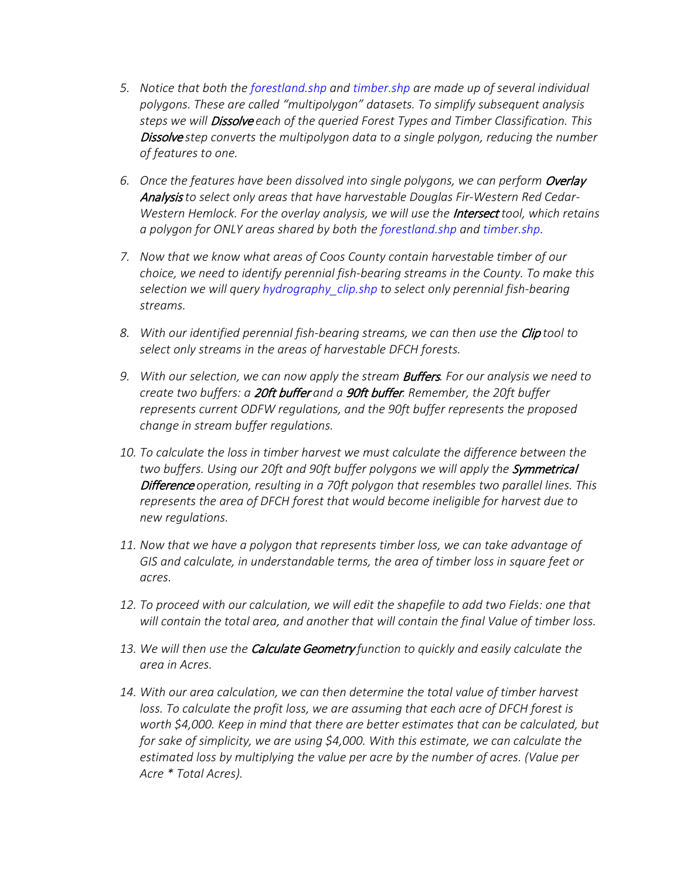- *5. Notice that both the forestland.shp and timber.shp are made up of several individual polygons. These are called "multipolygon" datasets. To simplify subsequent analysis steps we will* Dissolve *each of the queried Forest Types and Timber Classification. This*  Dissolve *step converts the multipolygon data to a single polygon, reducing the number of features to one.*
- 6. Once the features have been dissolved into single polygons, we can perform Overlay Analysis *to select only areas that have harvestable Douglas Fir-Western Red Cedar-Western Hemlock. For the overlay analysis, we will use the* Intersect *tool, which retains a polygon for ONLY areas shared by both the forestland.shp and timber.shp.*
- *7. Now that we know what areas of Coos County contain harvestable timber of our choice, we need to identify perennial fish-bearing streams in the County. To make this selection we will query hydrography\_clip.shp to select only perennial fish-bearing streams.*
- *8. With our identified perennial fish-bearing streams, we can then use the* Clip *tool to select only streams in the areas of harvestable DFCH forests.*
- 9. With our selection, we can now apply the stream **Buffers**. For our analysis we need to *create two buffers: a* 20ft buffer *and a* 90ft buffer*. Remember, the 20ft buffer represents current ODFW regulations, and the 90ft buffer represents the proposed change in stream buffer regulations.*
- *10. To calculate the loss in timber harvest we must calculate the difference between the*  two buffers. Using our 20ft and 90ft buffer polygons we will apply the **Symmetrical** Difference *operation, resulting in a 70ft polygon that resembles two parallel lines. This represents the area of DFCH forest that would become ineligible for harvest due to new regulations.*
- *11. Now that we have a polygon that represents timber loss, we can take advantage of GIS and calculate, in understandable terms, the area of timber loss in square feet or acres.*
- *12. To proceed with our calculation, we will edit the shapefile to add two Fields: one that will contain the total area, and another that will contain the final Value of timber loss.*
- *13. We will then use the* Calculate Geometry *function to quickly and easily calculate the area in Acres.*
- *14. With our area calculation, we can then determine the total value of timber harvest*  loss. To calculate the profit loss, we are assuming that each acre of DFCH forest is *worth \$4,000. Keep in mind that there are better estimates that can be calculated, but for sake of simplicity, we are using \$4,000. With this estimate, we can calculate the estimated loss by multiplying the value per acre by the number of acres. (Value per Acre \* Total Acres).*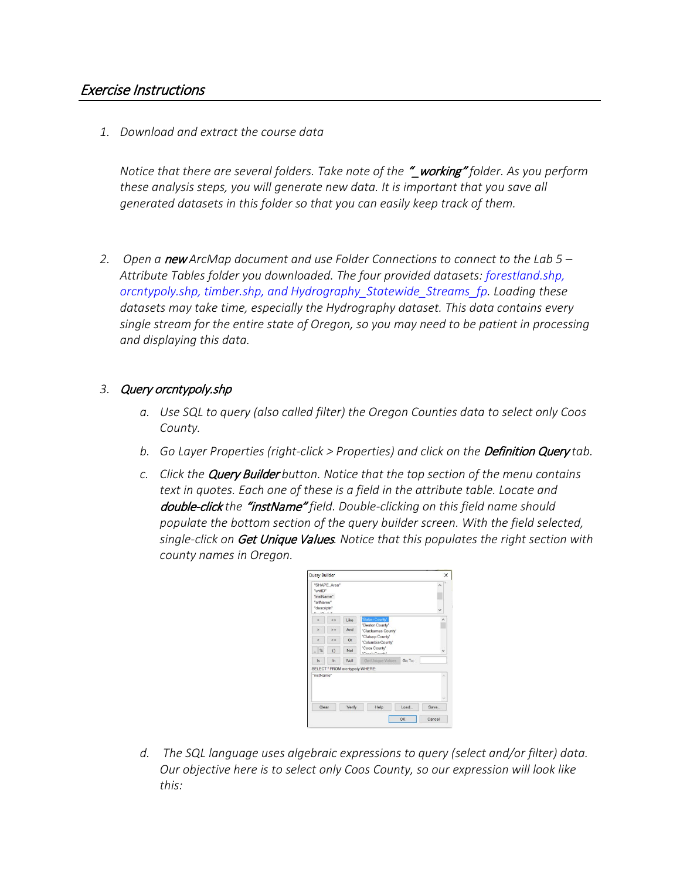## Exercise Instructions

*1. Download and extract the course data* 

*Notice that there are several folders. Take note of the* "\_working" *folder. As you perform these analysis steps, you will generate new data. It is important that you save all generated datasets in this folder so that you can easily keep track of them.*

*2. Open a* new *ArcMap document and use Folder Connections to connect to the Lab 5 – Attribute Tables folder you downloaded. The four provided datasets: forestland.shp, orcntypoly.shp, timber.shp, and Hydrography\_Statewide\_Streams\_fp. Loading these datasets may take time, especially the Hydrography dataset. This data contains every single stream for the entire state of Oregon, so you may need to be patient in processing and displaying this data.*

#### *3.* Query orcntypoly.shp

- *a. Use SQL to query (also called filter) the Oregon Counties data to select only Coos County.*
- **b.** Go Layer Properties (right-click > Properties) and click on the **Definition Query** tab.
- *c. Click the* Query Builder *button. Notice that the top section of the menu contains text in quotes. Each one of these is a field in the attribute table. Locate and*  double-click *the* "instName" *field. Double-clicking on this field name should populate the bottom section of the query builder screen. With the field selected, single-click on* Get Unique Values*. Notice that this populates the right section with county names in Oregon.*



*d. The SQL language uses algebraic expressions to query (select and/or filter) data. Our objective here is to select only Coos County, so our expression will look like this:*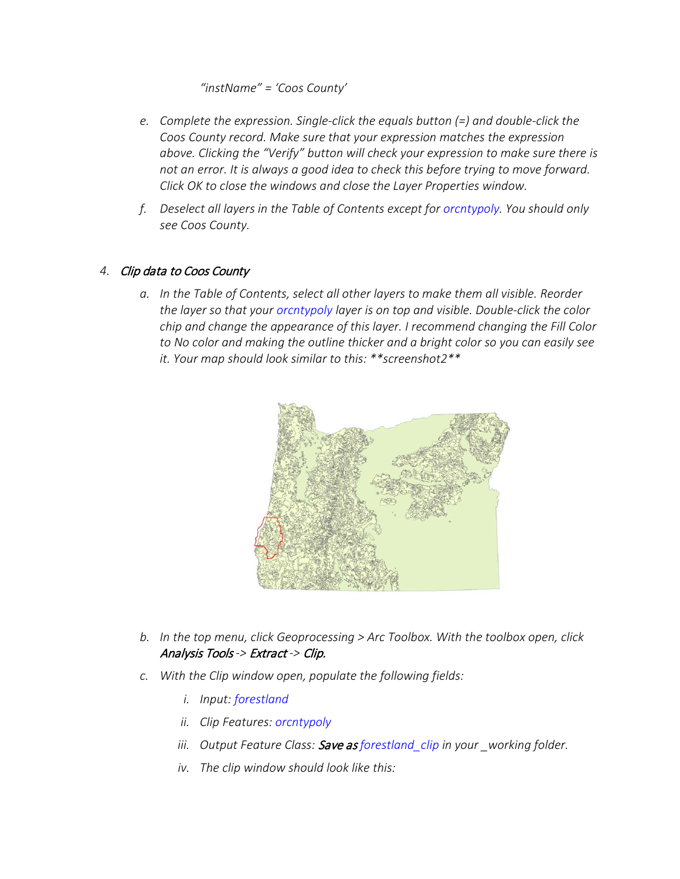*"instName" = 'Coos County'*

- *e. Complete the expression. Single-click the equals button (=) and double-click the Coos County record. Make sure that your expression matches the expression above. Clicking the "Verify" button will check your expression to make sure there is not an error. It is always a good idea to check this before trying to move forward. Click OK to close the windows and close the Layer Properties window.*
- *f. Deselect all layers in the Table of Contents except for orcntypoly. You should only see Coos County.*

## *4.* Clip data to Coos County

*a. In the Table of Contents, select all other layers to make them all visible. Reorder the layer so that your orcntypoly layer is on top and visible. Double-click the color chip and change the appearance of this layer. I recommend changing the Fill Color to No color and making the outline thicker and a bright color so you can easily see it. Your map should look similar to this: \*\*screenshot2\*\**



- *b. In the top menu, click Geoprocessing > Arc Toolbox. With the toolbox open, click*  Analysis Tools *->* Extract *->* Clip.
- *c. With the Clip window open, populate the following fields:*
	- *i. Input: forestland*
	- *ii. Clip Features: orcntypoly*
	- *iii. Output Feature Class:* Save as *forestland\_clip in your \_working folder.*
	- *iv. The clip window should look like this:*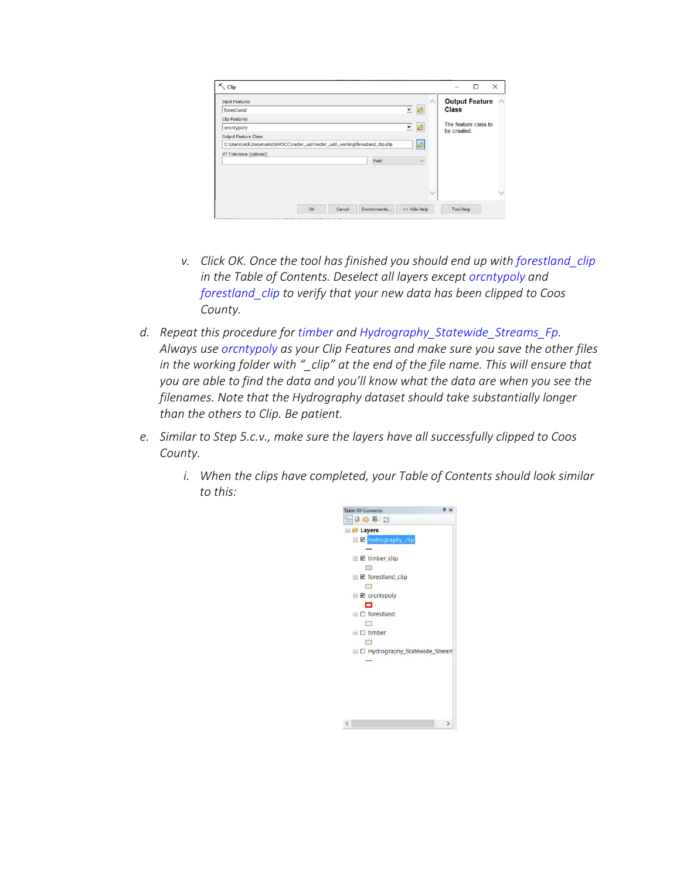| <b>Input Features</b>       |                                                                                  | $\curvearrowright$ | <b>Output Feature</b>              |
|-----------------------------|----------------------------------------------------------------------------------|--------------------|------------------------------------|
| forestland                  |                                                                                  | 三日                 | <b>Class</b>                       |
| <b>Clip Features</b>        |                                                                                  |                    |                                    |
| orcntypoly                  |                                                                                  | 三日                 | The feature class to<br>be created |
| <b>Output Feature Class</b> |                                                                                  |                    |                                    |
|                             | C:\Users\nick\Documents\SWOCC\Vector_Lab\Vector_Lab\_working\forestland_clip.shp | e                  |                                    |
| XY Tolerance (optional)     |                                                                                  |                    |                                    |
|                             | Feet                                                                             | $\checkmark$       |                                    |
|                             |                                                                                  |                    |                                    |
|                             |                                                                                  |                    |                                    |
|                             |                                                                                  |                    |                                    |
|                             |                                                                                  | $\checkmark$       |                                    |

- *v. Click OK. Once the tool has finished you should end up with forestland\_clip in the Table of Contents. Deselect all layers except orcntypoly and forestland\_clip to verify that your new data has been clipped to Coos County.*
- *d. Repeat this procedure for timber and Hydrography\_Statewide\_Streams\_Fp. Always use orcntypoly as your Clip Features and make sure you save the other files in the working folder with "\_clip" at the end of the file name. This will ensure that you are able to find the data and you'll know what the data are when you see the filenames. Note that the Hydrography dataset should take substantially longer than the others to Clip. Be patient.*
- *e. Similar to Step 5.c.v., make sure the layers have all successfully clipped to Coos County.*
	- *i. When the clips have completed, your Table of Contents should look similar to this:*

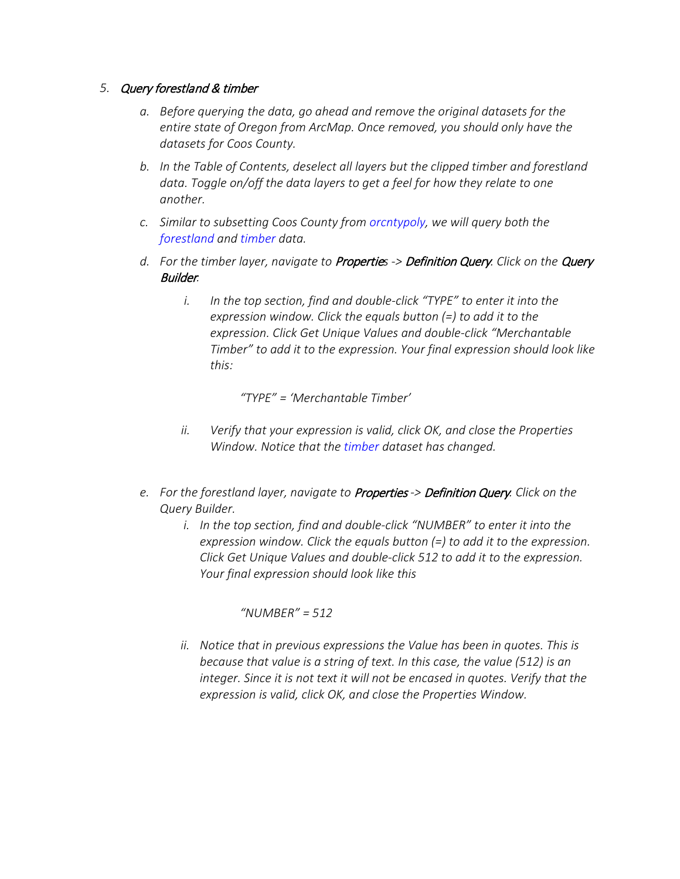## *5.* Query forestland & timber

- *a. Before querying the data, go ahead and remove the original datasets for the entire state of Oregon from ArcMap. Once removed, you should only have the datasets for Coos County.*
- *b. In the Table of Contents, deselect all layers but the clipped timber and forestland data. Toggle on/off the data layers to get a feel for how they relate to one another.*
- *c. Similar to subsetting Coos County from orcntypoly, we will query both the forestland and timber data.*
- *d. For the timber layer, navigate to* Propertie*s ->* Definition Query*. Click on the* Query Builder*.*
	- *i. In the top section, find and double-click "TYPE" to enter it into the expression window. Click the equals button (=) to add it to the expression. Click Get Unique Values and double-click "Merchantable Timber" to add it to the expression. Your final expression should look like this:*

*"TYPE" = 'Merchantable Timber'*

- *ii. Verify that your expression is valid, click OK, and close the Properties Window. Notice that the timber dataset has changed.*
- *e. For the forestland layer, navigate to* Properties *->* Definition Query*. Click on the Query Builder.*
	- *i. In the top section, find and double-click "NUMBER" to enter it into the expression window. Click the equals button (=) to add it to the expression. Click Get Unique Values and double-click 512 to add it to the expression. Your final expression should look like this*

*"NUMBER" = 512*

*ii. Notice that in previous expressions the Value has been in quotes. This is because that value is a string of text. In this case, the value (512) is an*  integer. Since it is not text it will not be encased in quotes. Verify that the *expression is valid, click OK, and close the Properties Window.*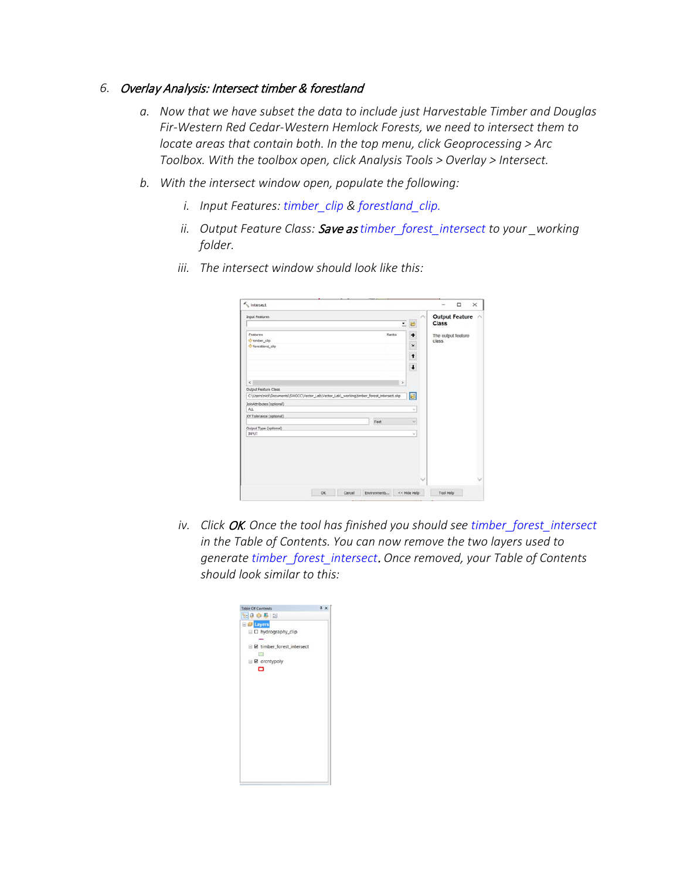#### *6.* Overlay Analysis: Intersect timber & forestland

- *a. Now that we have subset the data to include just Harvestable Timber and Douglas Fir-Western Red Cedar-Western Hemlock Forests, we need to intersect them to locate areas that contain both. In the top menu, click Geoprocessing > Arc Toolbox. With the toolbox open, click Analysis Tools > Overlay > Intersect.*
- *b. With the intersect window open, populate the following:*
	- *i. Input Features: timber\_clip & forestland\_clip.*
	- *ii. Output Feature Class:* Save as *timber\_forest\_intersect to your \_working folder.*

| $\overline{ }$<br>Features<br>Ranks<br>Chimber_clip<br>torestland_clip<br>$\epsilon$<br>×<br>Output Feature Class<br>C:\Users\nick\Documents\SWOCC\Vector_Lab\Vector_Lab\_working\timber_forest_intersect.shp<br>JoinAttributes (optional) | B<br>۰<br>$\times$<br>t<br>$\ddagger$ | <b>Class</b><br>class. | The output feature |
|--------------------------------------------------------------------------------------------------------------------------------------------------------------------------------------------------------------------------------------------|---------------------------------------|------------------------|--------------------|
|                                                                                                                                                                                                                                            |                                       |                        |                    |
|                                                                                                                                                                                                                                            |                                       |                        |                    |
|                                                                                                                                                                                                                                            |                                       |                        |                    |
|                                                                                                                                                                                                                                            |                                       |                        |                    |
|                                                                                                                                                                                                                                            |                                       |                        |                    |
|                                                                                                                                                                                                                                            |                                       |                        |                    |
|                                                                                                                                                                                                                                            |                                       |                        |                    |
|                                                                                                                                                                                                                                            |                                       |                        |                    |
|                                                                                                                                                                                                                                            |                                       |                        |                    |
|                                                                                                                                                                                                                                            | Ы                                     |                        |                    |
|                                                                                                                                                                                                                                            |                                       |                        |                    |
| ALL                                                                                                                                                                                                                                        | v                                     |                        |                    |
| XY Tolerance (optional)                                                                                                                                                                                                                    |                                       |                        |                    |
| Feet                                                                                                                                                                                                                                       | $\sim$                                |                        |                    |
| Output Type (optional)<br><b>BIFUT</b>                                                                                                                                                                                                     | $\omega$                              |                        |                    |
|                                                                                                                                                                                                                                            |                                       |                        |                    |

*iii. The intersect window should look like this:*

*iv.* Click OK. Once the tool has finished you should see timber forest intersect *in the Table of Contents. You can now remove the two layers used to generate timber\_forest\_intersect*. *Once removed, your Table of Contents should look similar to this:*

| <b>Table Of Contents</b>            | $x \times$ |
|-------------------------------------|------------|
| 9.99912                             |            |
| 日 <i>号</i> Layers                   |            |
| $\boxminus$ $\Box$ hydrography_clip |            |
|                                     |            |
| □ Ø timber_forest_intersect         |            |
| $\Box$                              |            |
| $\Box$ $\Box$ orcntypoly            |            |
| ▭                                   |            |
|                                     |            |
|                                     |            |
|                                     |            |
|                                     |            |
|                                     |            |
|                                     |            |
|                                     |            |
|                                     |            |
|                                     |            |
|                                     |            |
|                                     |            |
|                                     |            |
|                                     |            |
|                                     |            |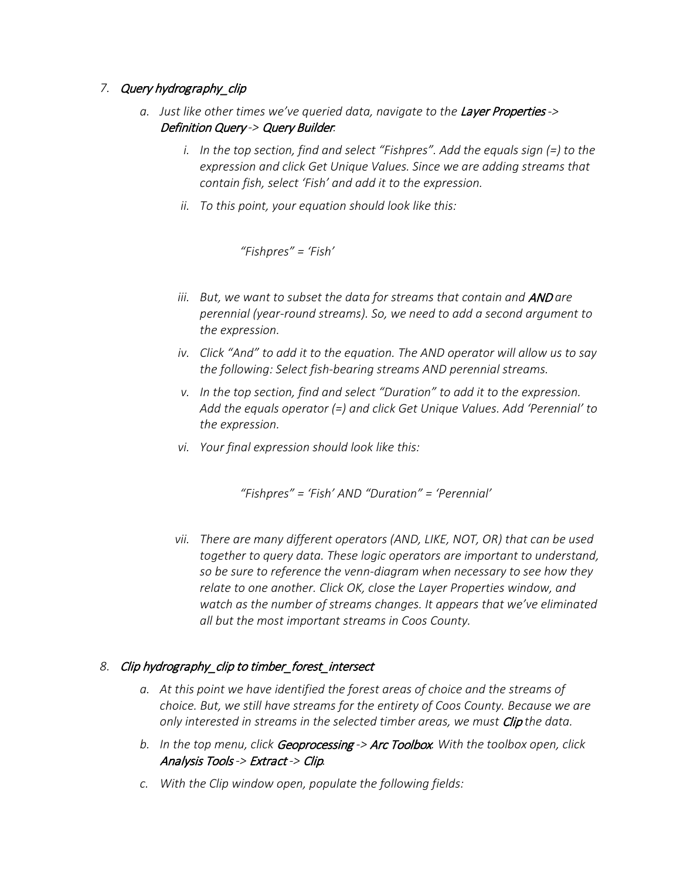## *7.* Query hydrography\_clip

- *a.* Just like other times we've queried data, navigate to the Layer Properties -> Definition Query *->* Query Builder*.*
	- *i. In the top section, find and select "Fishpres". Add the equals sign (=) to the expression and click Get Unique Values. Since we are adding streams that contain fish, select 'Fish' and add it to the expression.*
	- *ii. To this point, your equation should look like this:*

*"Fishpres" = 'Fish'*

- *iii.* But, we want to subset the data for streams that contain and **AND** are *perennial (year-round streams). So, we need to add a second argument to the expression.*
- *iv. Click "And" to add it to the equation. The AND operator will allow us to say the following: Select fish-bearing streams AND perennial streams.*
- *v. In the top section, find and select "Duration" to add it to the expression. Add the equals operator (=) and click Get Unique Values. Add 'Perennial' to the expression.*
- *vi. Your final expression should look like this:*

*"Fishpres" = 'Fish' AND "Duration" = 'Perennial'*

*vii. There are many different operators (AND, LIKE, NOT, OR) that can be used together to query data. These logic operators are important to understand, so be sure to reference the venn-diagram when necessary to see how they relate to one another. Click OK, close the Layer Properties window, and watch as the number of streams changes. It appears that we've eliminated all but the most important streams in Coos County.*

## *8.* Clip hydrography\_clip to timber\_forest\_intersect

- *a. At this point we have identified the forest areas of choice and the streams of choice. But, we still have streams for the entirety of Coos County. Because we are only interested in streams in the selected timber areas, we must* Clip *the data.*
- *b. In the top menu, click* Geoprocessing *->* Arc Toolbox*. With the toolbox open, click*  Analysis Tools *->* Extract *->* Clip*.*
- *c. With the Clip window open, populate the following fields:*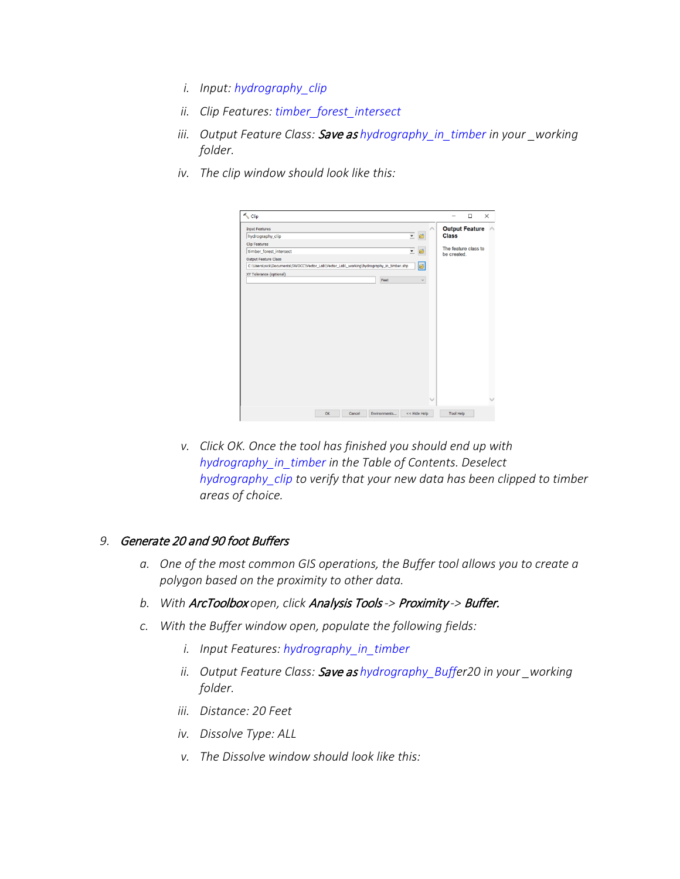- *i. Input: hydrography\_clip*
- *ii. Clip Features: timber\_forest\_intersect*
- *iii. Output Feature Class:* Save as *hydrography\_in\_timber in your \_working folder.*
- *iv. The clip window should look like this:*



*v. Click OK. Once the tool has finished you should end up with hydrography\_in\_timber in the Table of Contents. Deselect hydrography\_clip to verify that your new data has been clipped to timber areas of choice.*

#### *9.* Generate 20 and 90 foot Buffers

- *a. One of the most common GIS operations, the Buffer tool allows you to create a polygon based on the proximity to other data.*
- *b. With* ArcToolbox *open, click* Analysis Tools *->* Proximity *->* Buffer.
- *c. With the Buffer window open, populate the following fields:*
	- *i. Input Features: hydrography\_in\_timber*
	- *ii. Output Feature Class:* Save as *hydrography\_Buffer20 in your \_working folder.*
	- *iii. Distance: 20 Feet*
	- *iv. Dissolve Type: ALL*
	- *v. The Dissolve window should look like this:*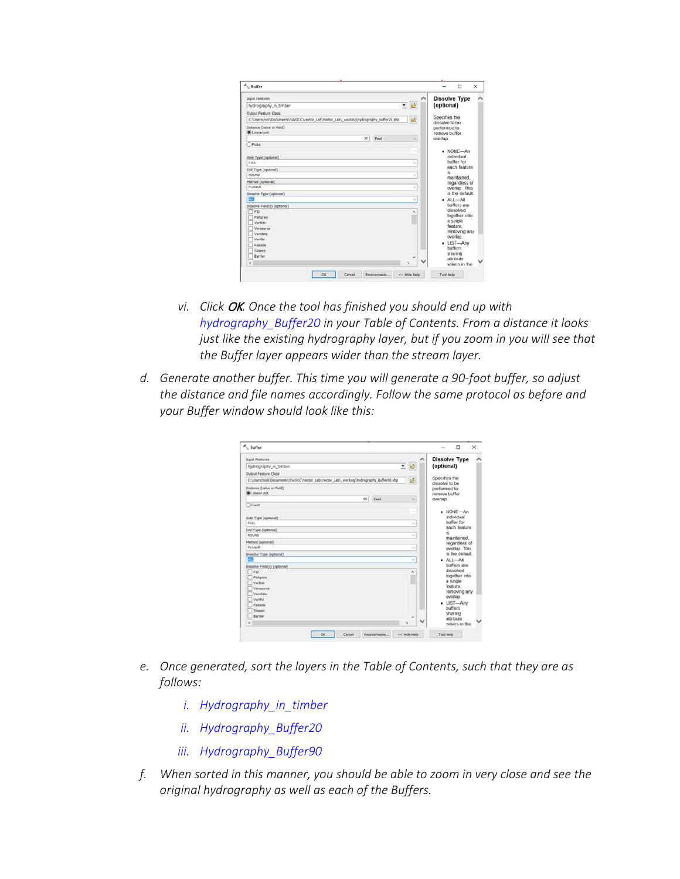| <b>Input Features</b>                                                                  |      | ㅅ | <b>Dissolve Type</b>             |
|----------------------------------------------------------------------------------------|------|---|----------------------------------|
| hydrography_in_timber                                                                  | $-6$ |   | (optional)                       |
| Output Feature Class                                                                   |      |   |                                  |
| C:\Users\nick\Documents\;SWOCC\Vector_Lab\Vector_Lab\_working\hydrography_Buffer20.shp | ø    |   | Specifies the<br>dissolve to be. |
| Distance (value or field)<br><b>Di</b> Linear unit                                     |      |   | performed to<br>remove buffer    |
| 20<br>Feet                                                                             | u)   |   | overlap.                         |
| ) Field                                                                                |      |   |                                  |
|                                                                                        | u    |   | $-$ NONE $-$ An<br>individual    |
| Side Type (optional)<br>FULL.                                                          | v    |   | buffer for                       |
| End Type (optional)                                                                    |      |   | each feature                     |
| <b>ROUND</b>                                                                           | u    |   | is.                              |
| Method (optional)                                                                      |      |   | maintained.<br>regardless of     |
| <b>PLANAR</b>                                                                          | v    |   | overlap. This                    |
| Dissolve Type (optional)                                                               |      |   | is the default.                  |
| <b>GT</b>                                                                              | v    |   | $A1 - AI$                        |
| Dissolve Field(s) (optional)                                                           |      |   | buffers are<br>dissolved         |
| T FID<br>Fishpres                                                                      | ۸    |   | together into                    |
| Verfish                                                                                |      |   | a single                         |
| Versource                                                                              |      |   | feature.                         |
| Veridate                                                                               |      |   | removing any<br>overlap.         |
| Verifiel                                                                               |      |   | • LIST-Any                       |
| Foasize                                                                                |      |   | <b>buffers</b>                   |
| Sizesro<br>Rarrier                                                                     |      |   | sharing                          |
| $\epsilon$                                                                             | s    |   | attribute<br>values in the       |

- *vi. Click* OK*. Once the tool has finished you should end up with hydrography\_Buffer20 in your Table of Contents. From a distance it looks just like the existing hydrography layer, but if you zoom in you will see that the Buffer layer appears wider than the stream layer.*
- *d. Generate another buffer. This time you will generate a 90-foot buffer, so adjust the distance and file names accordingly. Follow the same protocol as before and your Buffer window should look like this:*

| <b>Input Features</b>                                                                 |      |                    | ^            | <b>Dissolve Type</b>                            |  |
|---------------------------------------------------------------------------------------|------|--------------------|--------------|-------------------------------------------------|--|
| hydrography in timber                                                                 |      | $=$ $\blacksquare$ |              | (optional)                                      |  |
| Output Feature Class                                                                  |      |                    |              |                                                 |  |
| C:\Users\nick\Documents\SWOCC\Vector_Lab\Vector_Lab\_working\hydrography_Buffer90.shp |      | 酱                  |              | Specifies the                                   |  |
| Distance [value or field]<br><b>O</b> Linear unit                                     |      |                    |              | dissolve to be<br>performed to<br>remove buffer |  |
| 90                                                                                    | Feet | $\omega$           |              | overlap.                                        |  |
| OField                                                                                |      |                    |              |                                                 |  |
|                                                                                       |      |                    |              | $-$ NONE $-$ An<br>individual                   |  |
| Side Type (optional)<br>FULL.                                                         |      | u                  |              | buffer for                                      |  |
| End Type (optional)                                                                   |      |                    |              | each feature                                    |  |
| ROUND                                                                                 |      | u                  |              | is.                                             |  |
| Method (optional)                                                                     |      |                    |              | maintained.<br>regardless of                    |  |
| <b>PLANAR</b>                                                                         |      | v                  |              | overlap. This                                   |  |
| Dissolve Type (optional)                                                              |      |                    |              | is the default.                                 |  |
| $\overline{M}$                                                                        |      | ü                  |              | $AL - AI$                                       |  |
| Dissolve Field(s) (optional)                                                          |      |                    |              | buffers are                                     |  |
| $\Box$ FED                                                                            |      | ×                  |              | dissolved<br>together into                      |  |
| Fishpres<br>Verfish                                                                   |      |                    |              | a single                                        |  |
| Versource                                                                             |      |                    |              | feature.                                        |  |
| Veridate                                                                              |      |                    |              | removing any                                    |  |
| Verifid                                                                               |      |                    |              | overlap.                                        |  |
| Foasize                                                                               |      |                    |              | · LIST-Any<br><b>buffers</b>                    |  |
| Sizeurc                                                                               |      |                    |              | sharing                                         |  |
| Ramer                                                                                 |      | ч                  |              | attribute                                       |  |
| $\epsilon$                                                                            |      |                    | $\checkmark$ | values in the                                   |  |

- *e. Once generated, sort the layers in the Table of Contents, such that they are as follows:*
	- *i. Hydrography\_in\_timber*
	- *ii. Hydrography\_Buffer20*
	- *iii. Hydrography\_Buffer90*
- *f. When sorted in this manner, you should be able to zoom in very close and see the original hydrography as well as each of the Buffers.*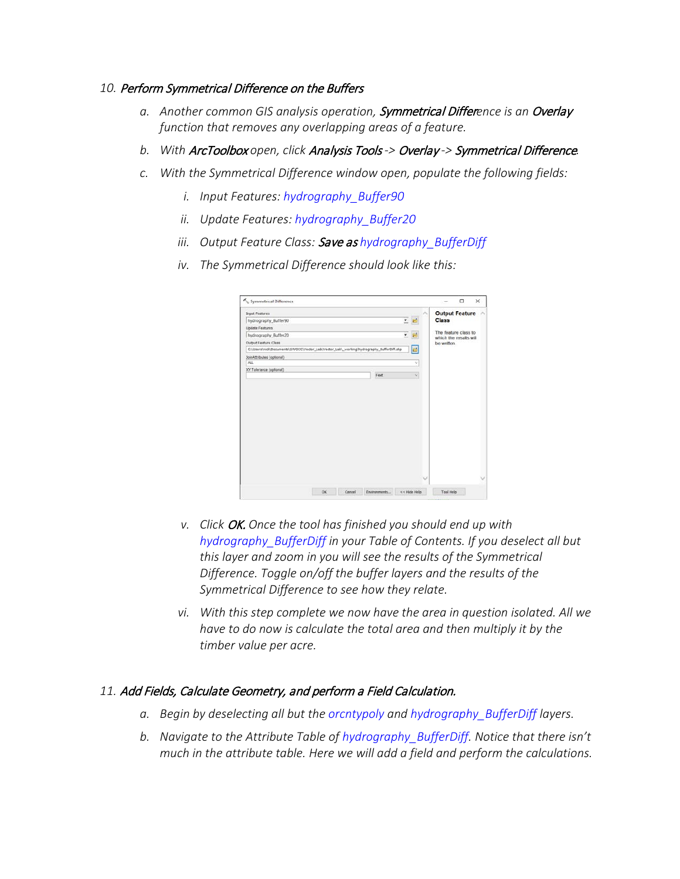#### *10.* Perform Symmetrical Difference on the Buffers

- *a. Another common GIS analysis operation,* Symmetrical Differ*ence is an* Overlay *function that removes any overlapping areas of a feature.*
- *b. With* ArcToolbox *open, click* Analysis Tools *->* Overlay *->* Symmetrical Difference*.*
- *c. With the Symmetrical Difference window open, populate the following fields:*
	- *i. Input Features: hydrography\_Buffer90*
	- *ii. Update Features: hydrography\_Buffer20*
	- *iii. Output Feature Class:* Save as *hydrography\_BufferDiff*
	- *iv. The Symmetrical Difference should look like this:*

| <b>Class</b><br><u>•</u> ⊟<br>The feature class to<br>hydrography_Buffer20<br>Σ.<br>which the results will<br>Output Feature Class<br>be written.<br>E<br>C:\Users\nick\Documents\SWOCC\Vector_Lab\Vector_Lab\_working\hydrography_BufferDiff.shp<br>JoinAttributes (optional)<br>ALL<br>ų.<br>XY Tolerance (optional)<br>Feet<br>u | <b>Input Features</b>  |  | ×      | <b>Output Feature</b> |
|-------------------------------------------------------------------------------------------------------------------------------------------------------------------------------------------------------------------------------------------------------------------------------------------------------------------------------------|------------------------|--|--------|-----------------------|
|                                                                                                                                                                                                                                                                                                                                     | hydrography Buffer90   |  |        |                       |
|                                                                                                                                                                                                                                                                                                                                     | <b>Update Features</b> |  |        |                       |
|                                                                                                                                                                                                                                                                                                                                     |                        |  |        |                       |
|                                                                                                                                                                                                                                                                                                                                     |                        |  |        |                       |
|                                                                                                                                                                                                                                                                                                                                     |                        |  |        |                       |
|                                                                                                                                                                                                                                                                                                                                     |                        |  |        |                       |
|                                                                                                                                                                                                                                                                                                                                     |                        |  |        |                       |
|                                                                                                                                                                                                                                                                                                                                     |                        |  |        |                       |
|                                                                                                                                                                                                                                                                                                                                     |                        |  |        |                       |
|                                                                                                                                                                                                                                                                                                                                     |                        |  |        |                       |
| << Hide Help<br><b>Tool Help</b><br>OK<br>Cancel<br>Environments                                                                                                                                                                                                                                                                    |                        |  | $\sim$ | u                     |

- *v. Click* OK. *Once the tool has finished you should end up with hydrography\_BufferDiff in your Table of Contents. If you deselect all but this layer and zoom in you will see the results of the Symmetrical Difference. Toggle on/off the buffer layers and the results of the Symmetrical Difference to see how they relate.*
- *vi. With this step complete we now have the area in question isolated. All we have to do now is calculate the total area and then multiply it by the timber value per acre.*

## *11.* Add Fields, Calculate Geometry, and perform a Field Calculation.

- *a. Begin by deselecting all but the orcntypoly and hydrography\_BufferDiff layers.*
- *b. Navigate to the Attribute Table of hydrography\_BufferDiff. Notice that there isn't much in the attribute table. Here we will add a field and perform the calculations.*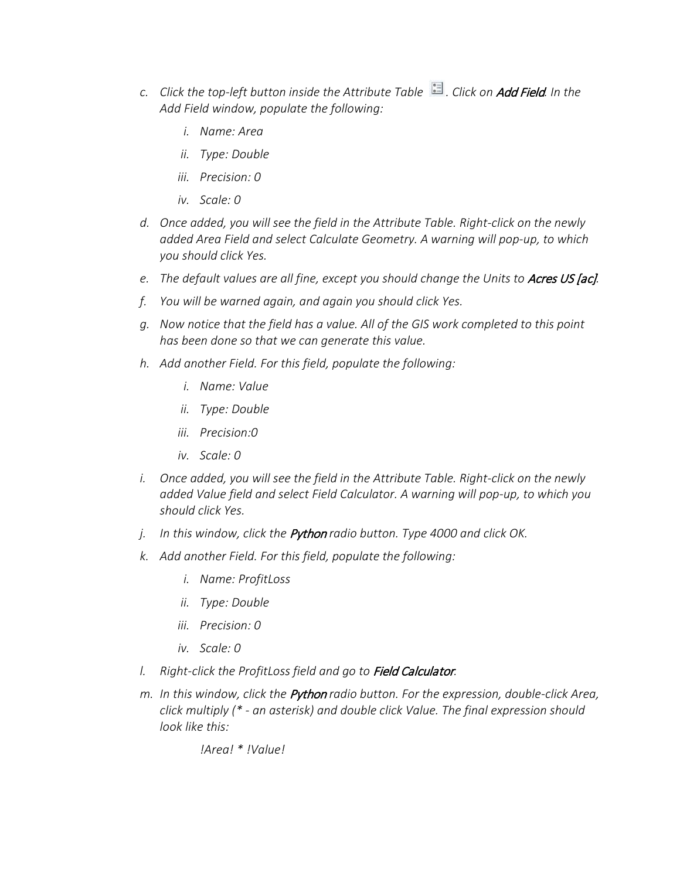- *c. Click the top-left button inside the Attribute Table . Click on* Add Field*. In the Add Field window, populate the following:* 
	- *i. Name: Area*
	- *ii. Type: Double*
	- *iii. Precision: 0*
	- *iv. Scale: 0*
- *d. Once added, you will see the field in the Attribute Table. Right-click on the newly added Area Field and select Calculate Geometry. A warning will pop-up, to which you should click Yes.*
- *e.* The default values are all fine, except you should change the Units to Acres US [ac].
- *f. You will be warned again, and again you should click Yes.*
- *g. Now notice that the field has a value. All of the GIS work completed to this point has been done so that we can generate this value.*
- *h. Add another Field. For this field, populate the following:*
	- *i. Name: Value*
	- *ii. Type: Double*
	- *iii. Precision:0*
	- *iv. Scale: 0*
- *i. Once added, you will see the field in the Attribute Table. Right-click on the newly added Value field and select Field Calculator. A warning will pop-up, to which you should click Yes.*
- *j. In this window, click the* Python *radio button. Type 4000 and click OK.*
- *k. Add another Field. For this field, populate the following:*
	- *i. Name: ProfitLoss*
	- *ii. Type: Double*
	- *iii. Precision: 0*
	- *iv. Scale: 0*
- *l. Right-click the ProfitLoss field and go to* Field Calculator*.*
- *m. In this window, click the* Python *radio button. For the expression, double-click Area, click multiply (\* - an asterisk) and double click Value. The final expression should look like this:*

*!Area! \* !Value!*